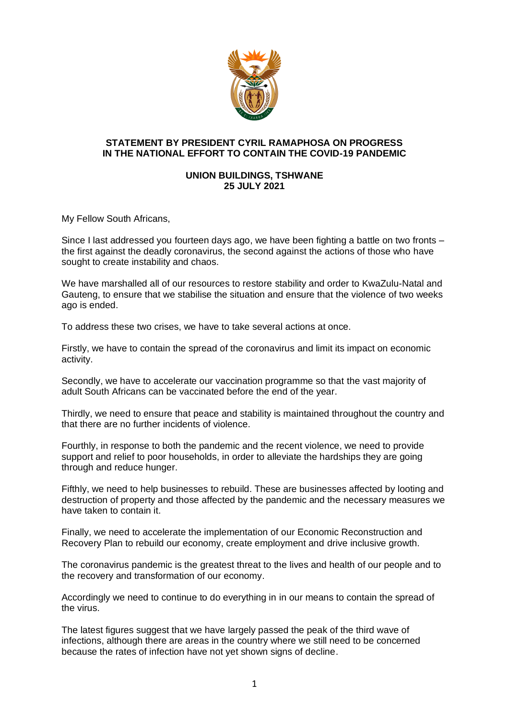

## **STATEMENT BY PRESIDENT CYRIL RAMAPHOSA ON PROGRESS IN THE NATIONAL EFFORT TO CONTAIN THE COVID-19 PANDEMIC**

## **UNION BUILDINGS, TSHWANE 25 JULY 2021**

My Fellow South Africans,

Since I last addressed you fourteen days ago, we have been fighting a battle on two fronts – the first against the deadly coronavirus, the second against the actions of those who have sought to create instability and chaos.

We have marshalled all of our resources to restore stability and order to KwaZulu-Natal and Gauteng, to ensure that we stabilise the situation and ensure that the violence of two weeks ago is ended.

To address these two crises, we have to take several actions at once.

Firstly, we have to contain the spread of the coronavirus and limit its impact on economic activity.

Secondly, we have to accelerate our vaccination programme so that the vast majority of adult South Africans can be vaccinated before the end of the year.

Thirdly, we need to ensure that peace and stability is maintained throughout the country and that there are no further incidents of violence.

Fourthly, in response to both the pandemic and the recent violence, we need to provide support and relief to poor households, in order to alleviate the hardships they are going through and reduce hunger.

Fifthly, we need to help businesses to rebuild. These are businesses affected by looting and destruction of property and those affected by the pandemic and the necessary measures we have taken to contain it.

Finally, we need to accelerate the implementation of our Economic Reconstruction and Recovery Plan to rebuild our economy, create employment and drive inclusive growth.

The coronavirus pandemic is the greatest threat to the lives and health of our people and to the recovery and transformation of our economy.

Accordingly we need to continue to do everything in in our means to contain the spread of the virus.

The latest figures suggest that we have largely passed the peak of the third wave of infections, although there are areas in the country where we still need to be concerned because the rates of infection have not yet shown signs of decline.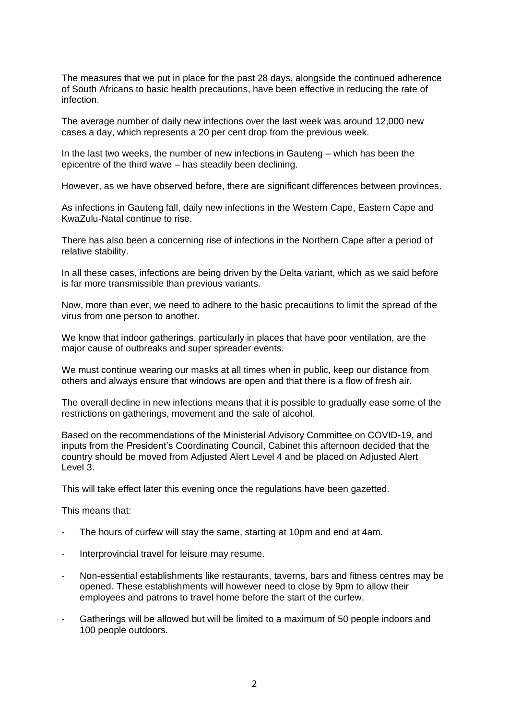The measures that we put in place for the past 28 days, alongside the continued adherence of South Africans to basic health precautions, have been effective in reducing the rate of infection.

The average number of daily new infections over the last week was around 12,000 new cases a day, which represents a 20 per cent drop from the previous week.

In the last two weeks, the number of new infections in Gauteng – which has been the epicentre of the third wave – has steadily been declining.

However, as we have observed before, there are significant differences between provinces.

As infections in Gauteng fall, daily new infections in the Western Cape, Eastern Cape and KwaZulu-Natal continue to rise.

There has also been a concerning rise of infections in the Northern Cape after a period of relative stability.

In all these cases, infections are being driven by the Delta variant, which as we said before is far more transmissible than previous variants.

Now, more than ever, we need to adhere to the basic precautions to limit the spread of the virus from one person to another.

We know that indoor gatherings, particularly in places that have poor ventilation, are the major cause of outbreaks and super spreader events.

We must continue wearing our masks at all times when in public, keep our distance from others and always ensure that windows are open and that there is a flow of fresh air.

The overall decline in new infections means that it is possible to gradually ease some of the restrictions on gatherings, movement and the sale of alcohol.

Based on the recommendations of the Ministerial Advisory Committee on COVID-19, and inputs from the President's Coordinating Council, Cabinet this afternoon decided that the country should be moved from Adjusted Alert Level 4 and be placed on Adjusted Alert Level 3.

This will take effect later this evening once the regulations have been gazetted.

This means that:

- The hours of curfew will stay the same, starting at 10pm and end at 4am.
- Interprovincial travel for leisure may resume.
- Non-essential establishments like restaurants, taverns, bars and fitness centres may be opened. These establishments will however need to close by 9pm to allow their employees and patrons to travel home before the start of the curfew.
- Gatherings will be allowed but will be limited to a maximum of 50 people indoors and 100 people outdoors.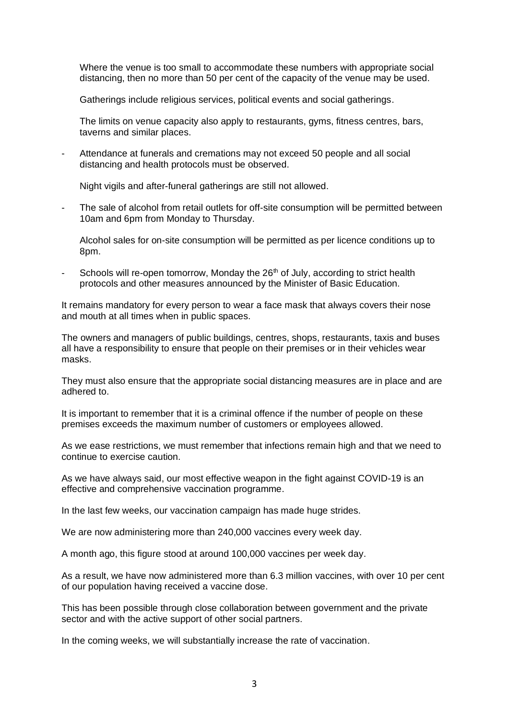Where the venue is too small to accommodate these numbers with appropriate social distancing, then no more than 50 per cent of the capacity of the venue may be used.

Gatherings include religious services, political events and social gatherings.

The limits on venue capacity also apply to restaurants, gyms, fitness centres, bars, taverns and similar places.

Attendance at funerals and cremations may not exceed 50 people and all social distancing and health protocols must be observed.

Night vigils and after-funeral gatherings are still not allowed.

The sale of alcohol from retail outlets for off-site consumption will be permitted between 10am and 6pm from Monday to Thursday.

Alcohol sales for on-site consumption will be permitted as per licence conditions up to 8pm.

Schools will re-open tomorrow, Monday the  $26<sup>th</sup>$  of July, according to strict health protocols and other measures announced by the Minister of Basic Education.

It remains mandatory for every person to wear a face mask that always covers their nose and mouth at all times when in public spaces.

The owners and managers of public buildings, centres, shops, restaurants, taxis and buses all have a responsibility to ensure that people on their premises or in their vehicles wear masks.

They must also ensure that the appropriate social distancing measures are in place and are adhered to.

It is important to remember that it is a criminal offence if the number of people on these premises exceeds the maximum number of customers or employees allowed.

As we ease restrictions, we must remember that infections remain high and that we need to continue to exercise caution.

As we have always said, our most effective weapon in the fight against COVID-19 is an effective and comprehensive vaccination programme.

In the last few weeks, our vaccination campaign has made huge strides.

We are now administering more than 240,000 vaccines every week day.

A month ago, this figure stood at around 100,000 vaccines per week day.

As a result, we have now administered more than 6.3 million vaccines, with over 10 per cent of our population having received a vaccine dose.

This has been possible through close collaboration between government and the private sector and with the active support of other social partners.

In the coming weeks, we will substantially increase the rate of vaccination.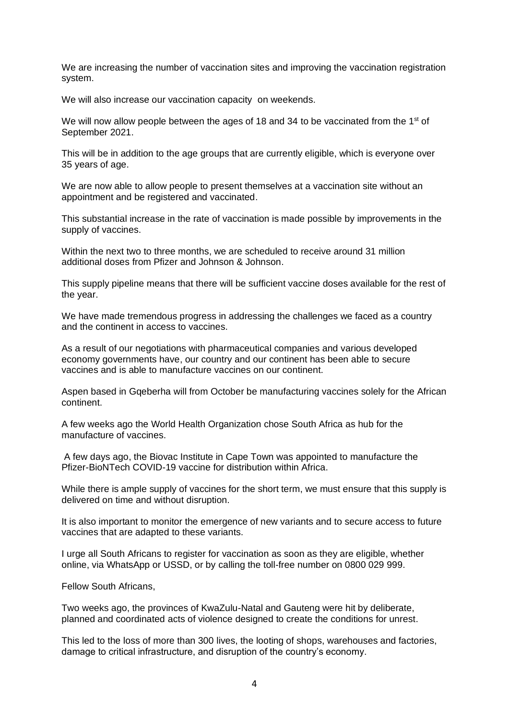We are increasing the number of vaccination sites and improving the vaccination registration system.

We will also increase our vaccination capacity on weekends.

We will now allow people between the ages of 18 and 34 to be vaccinated from the 1<sup>st</sup> of September 2021.

This will be in addition to the age groups that are currently eligible, which is everyone over 35 years of age.

We are now able to allow people to present themselves at a vaccination site without an appointment and be registered and vaccinated.

This substantial increase in the rate of vaccination is made possible by improvements in the supply of vaccines.

Within the next two to three months, we are scheduled to receive around 31 million additional doses from Pfizer and Johnson & Johnson.

This supply pipeline means that there will be sufficient vaccine doses available for the rest of the year.

We have made tremendous progress in addressing the challenges we faced as a country and the continent in access to vaccines.

As a result of our negotiations with pharmaceutical companies and various developed economy governments have, our country and our continent has been able to secure vaccines and is able to manufacture vaccines on our continent.

Aspen based in Gqeberha will from October be manufacturing vaccines solely for the African continent.

A few weeks ago the World Health Organization chose South Africa as hub for the manufacture of vaccines.

A few days ago, the Biovac Institute in Cape Town was appointed to manufacture the Pfizer-BioNTech COVID-19 vaccine for distribution within Africa.

While there is ample supply of vaccines for the short term, we must ensure that this supply is delivered on time and without disruption.

It is also important to monitor the emergence of new variants and to secure access to future vaccines that are adapted to these variants.

I urge all South Africans to register for vaccination as soon as they are eligible, whether online, via WhatsApp or USSD, or by calling the toll-free number on 0800 029 999.

Fellow South Africans,

Two weeks ago, the provinces of KwaZulu-Natal and Gauteng were hit by deliberate, planned and coordinated acts of violence designed to create the conditions for unrest.

This led to the loss of more than 300 lives, the looting of shops, warehouses and factories, damage to critical infrastructure, and disruption of the country's economy.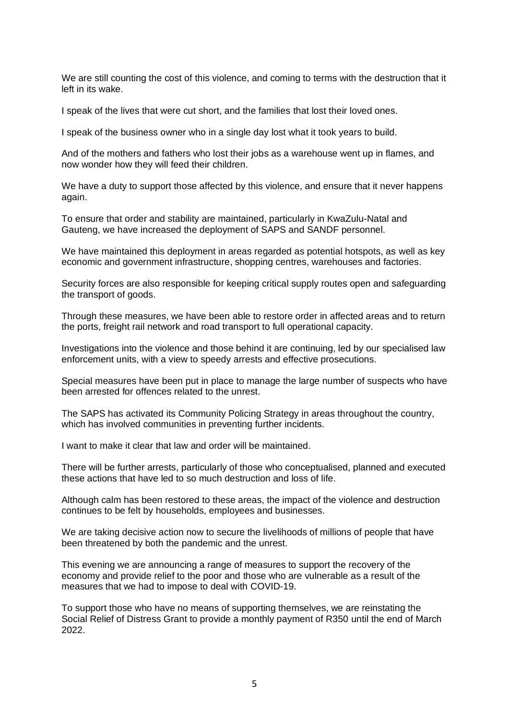We are still counting the cost of this violence, and coming to terms with the destruction that it left in its wake.

I speak of the lives that were cut short, and the families that lost their loved ones.

I speak of the business owner who in a single day lost what it took years to build.

And of the mothers and fathers who lost their jobs as a warehouse went up in flames, and now wonder how they will feed their children.

We have a duty to support those affected by this violence, and ensure that it never happens again.

To ensure that order and stability are maintained, particularly in KwaZulu-Natal and Gauteng, we have increased the deployment of SAPS and SANDF personnel.

We have maintained this deployment in areas regarded as potential hotspots, as well as key economic and government infrastructure, shopping centres, warehouses and factories.

Security forces are also responsible for keeping critical supply routes open and safeguarding the transport of goods.

Through these measures, we have been able to restore order in affected areas and to return the ports, freight rail network and road transport to full operational capacity.

Investigations into the violence and those behind it are continuing, led by our specialised law enforcement units, with a view to speedy arrests and effective prosecutions.

Special measures have been put in place to manage the large number of suspects who have been arrested for offences related to the unrest.

The SAPS has activated its Community Policing Strategy in areas throughout the country, which has involved communities in preventing further incidents.

I want to make it clear that law and order will be maintained.

There will be further arrests, particularly of those who conceptualised, planned and executed these actions that have led to so much destruction and loss of life.

Although calm has been restored to these areas, the impact of the violence and destruction continues to be felt by households, employees and businesses.

We are taking decisive action now to secure the livelihoods of millions of people that have been threatened by both the pandemic and the unrest.

This evening we are announcing a range of measures to support the recovery of the economy and provide relief to the poor and those who are vulnerable as a result of the measures that we had to impose to deal with COVID-19.

To support those who have no means of supporting themselves, we are reinstating the Social Relief of Distress Grant to provide a monthly payment of R350 until the end of March 2022.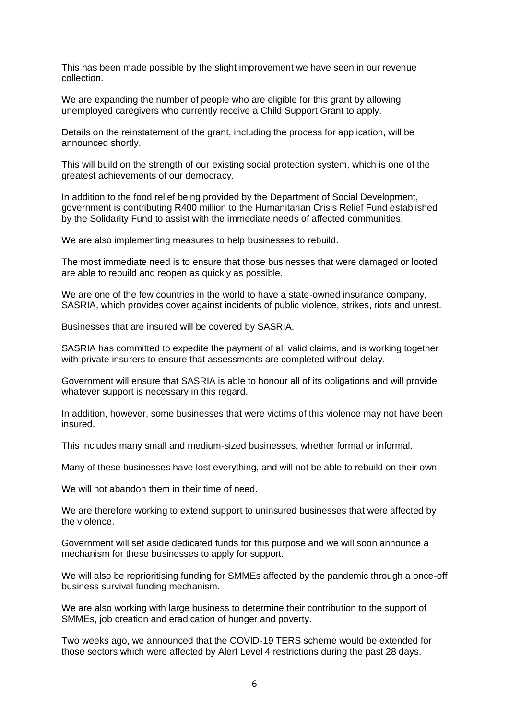This has been made possible by the slight improvement we have seen in our revenue collection.

We are expanding the number of people who are eligible for this grant by allowing unemployed caregivers who currently receive a Child Support Grant to apply.

Details on the reinstatement of the grant, including the process for application, will be announced shortly.

This will build on the strength of our existing social protection system, which is one of the greatest achievements of our democracy.

In addition to the food relief being provided by the Department of Social Development, government is contributing R400 million to the Humanitarian Crisis Relief Fund established by the Solidarity Fund to assist with the immediate needs of affected communities.

We are also implementing measures to help businesses to rebuild.

The most immediate need is to ensure that those businesses that were damaged or looted are able to rebuild and reopen as quickly as possible.

We are one of the few countries in the world to have a state-owned insurance company, SASRIA, which provides cover against incidents of public violence, strikes, riots and unrest.

Businesses that are insured will be covered by SASRIA.

SASRIA has committed to expedite the payment of all valid claims, and is working together with private insurers to ensure that assessments are completed without delay.

Government will ensure that SASRIA is able to honour all of its obligations and will provide whatever support is necessary in this regard.

In addition, however, some businesses that were victims of this violence may not have been insured.

This includes many small and medium-sized businesses, whether formal or informal.

Many of these businesses have lost everything, and will not be able to rebuild on their own.

We will not abandon them in their time of need.

We are therefore working to extend support to uninsured businesses that were affected by the violence.

Government will set aside dedicated funds for this purpose and we will soon announce a mechanism for these businesses to apply for support.

We will also be reprioritising funding for SMMEs affected by the pandemic through a once-off business survival funding mechanism.

We are also working with large business to determine their contribution to the support of SMMEs, job creation and eradication of hunger and poverty.

Two weeks ago, we announced that the COVID-19 TERS scheme would be extended for those sectors which were affected by Alert Level 4 restrictions during the past 28 days.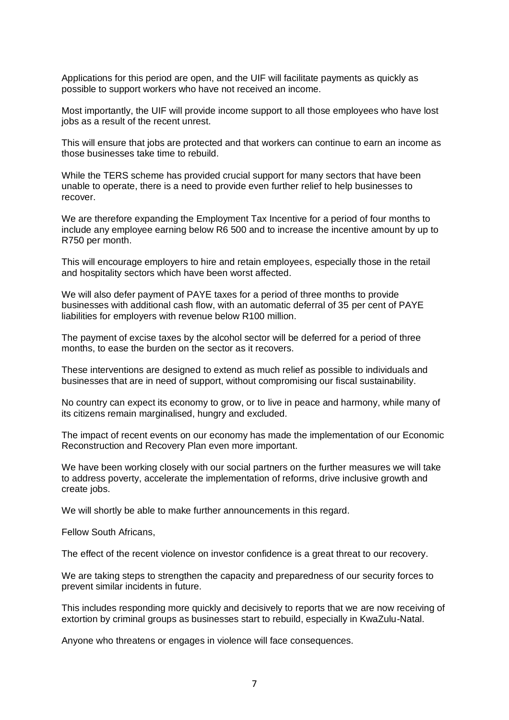Applications for this period are open, and the UIF will facilitate payments as quickly as possible to support workers who have not received an income.

Most importantly, the UIF will provide income support to all those employees who have lost jobs as a result of the recent unrest.

This will ensure that jobs are protected and that workers can continue to earn an income as those businesses take time to rebuild.

While the TERS scheme has provided crucial support for many sectors that have been unable to operate, there is a need to provide even further relief to help businesses to recover.

We are therefore expanding the Employment Tax Incentive for a period of four months to include any employee earning below R6 500 and to increase the incentive amount by up to R750 per month.

This will encourage employers to hire and retain employees, especially those in the retail and hospitality sectors which have been worst affected.

We will also defer payment of PAYE taxes for a period of three months to provide businesses with additional cash flow, with an automatic deferral of 35 per cent of PAYE liabilities for employers with revenue below R100 million.

The payment of excise taxes by the alcohol sector will be deferred for a period of three months, to ease the burden on the sector as it recovers.

These interventions are designed to extend as much relief as possible to individuals and businesses that are in need of support, without compromising our fiscal sustainability.

No country can expect its economy to grow, or to live in peace and harmony, while many of its citizens remain marginalised, hungry and excluded.

The impact of recent events on our economy has made the implementation of our Economic Reconstruction and Recovery Plan even more important.

We have been working closely with our social partners on the further measures we will take to address poverty, accelerate the implementation of reforms, drive inclusive growth and create jobs.

We will shortly be able to make further announcements in this regard.

Fellow South Africans,

The effect of the recent violence on investor confidence is a great threat to our recovery.

We are taking steps to strengthen the capacity and preparedness of our security forces to prevent similar incidents in future.

This includes responding more quickly and decisively to reports that we are now receiving of extortion by criminal groups as businesses start to rebuild, especially in KwaZulu-Natal.

Anyone who threatens or engages in violence will face consequences.